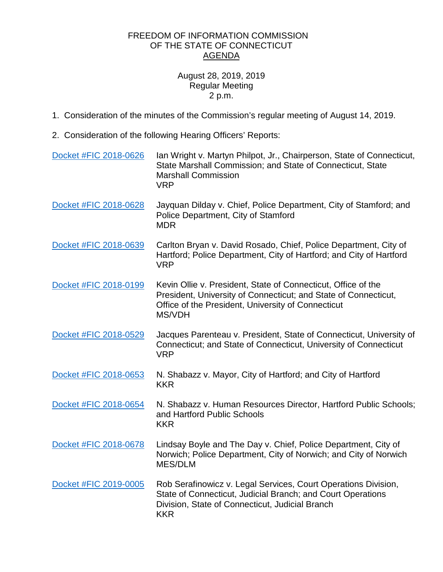## FREEDOM OF INFORMATION COMMISSION OF THE STATE OF CONNECTICUT AGENDA

## August 28, 2019, 2019 Regular Meeting 2 p.m.

- 1. Consideration of the minutes of the Commission's regular meeting of August 14, 2019.
- 2. Consideration of the following Hearing Officers' Reports:

| Docket #FIC 2018-0626 | Ian Wright v. Martyn Philpot, Jr., Chairperson, State of Connecticut,<br>State Marshall Commission; and State of Connecticut, State<br><b>Marshall Commission</b><br><b>VRP</b>                  |
|-----------------------|--------------------------------------------------------------------------------------------------------------------------------------------------------------------------------------------------|
| Docket #FIC 2018-0628 | Jayquan Dilday v. Chief, Police Department, City of Stamford; and<br>Police Department, City of Stamford<br><b>MDR</b>                                                                           |
| Docket #FIC 2018-0639 | Carlton Bryan v. David Rosado, Chief, Police Department, City of<br>Hartford; Police Department, City of Hartford; and City of Hartford<br><b>VRP</b>                                            |
| Docket #FIC 2018-0199 | Kevin Ollie v. President, State of Connecticut, Office of the<br>President, University of Connecticut; and State of Connecticut,<br>Office of the President, University of Connecticut<br>MS/VDH |
| Docket #FIC 2018-0529 | Jacques Parenteau v. President, State of Connecticut, University of<br>Connecticut; and State of Connecticut, University of Connecticut<br><b>VRP</b>                                            |
| Docket #FIC 2018-0653 | N. Shabazz v. Mayor, City of Hartford; and City of Hartford<br><b>KKR</b>                                                                                                                        |
| Docket #FIC 2018-0654 | N. Shabazz v. Human Resources Director, Hartford Public Schools;<br>and Hartford Public Schools<br><b>KKR</b>                                                                                    |
| Docket #FIC 2018-0678 | Lindsay Boyle and The Day v. Chief, Police Department, City of<br>Norwich; Police Department, City of Norwich; and City of Norwich<br><b>MES/DLM</b>                                             |
| Docket #FIC 2019-0005 | Rob Serafinowicz v. Legal Services, Court Operations Division,<br>State of Connecticut, Judicial Branch; and Court Operations<br>Division, State of Connecticut, Judicial Branch<br><b>KKR</b>   |